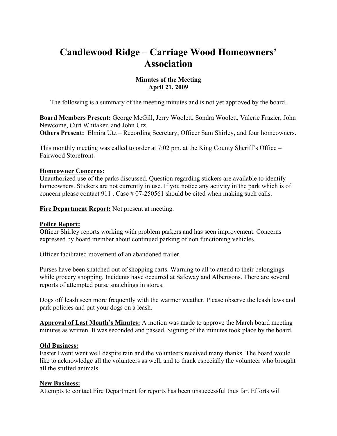# **Candlewood Ridge – Carriage Wood Homeowners' Association**

## **Minutes of the Meeting April 21, 2009**

The following is a summary of the meeting minutes and is not yet approved by the board.

**Board Members Present:** George McGill, Jerry Woolett, Sondra Woolett, Valerie Frazier, John Newcome, Curt Whitaker, and John Utz. **Others Present:** Elmira Utz – Recording Secretary, Officer Sam Shirley, and four homeowners.

This monthly meeting was called to order at 7:02 pm. at the King County Sheriff's Office – Fairwood Storefront.

#### **Homeowner Concerns:**

Unauthorized use of the parks discussed. Question regarding stickers are available to identify homeowners. Stickers are not currently in use. If you notice any activity in the park which is of concern please contact 911. Case # 07-250561 should be cited when making such calls.

**Fire Department Report:** Not present at meeting.

## **Police Report:**

Officer Shirley reports working with problem parkers and has seen improvement. Concerns expressed by board member about continued parking of non functioning vehicles.

Officer facilitated movement of an abandoned trailer.

Purses have been snatched out of shopping carts. Warning to all to attend to their belongings while grocery shopping. Incidents have occurred at Safeway and Albertsons. There are several reports of attempted purse snatchings in stores.

Dogs off leash seen more frequently with the warmer weather. Please observe the leash laws and park policies and put your dogs on a leash.

**Approval of Last Month's Minutes:** A motion was made to approve the March board meeting minutes as written. It was seconded and passed. Signing of the minutes took place by the board.

#### **Old Business:**

Easter Event went well despite rain and the volunteers received many thanks. The board would like to acknowledge all the volunteers as well, and to thank especially the volunteer who brought all the stuffed animals.

#### **New Business:**

Attempts to contact Fire Department for reports has been unsuccessful thus far. Efforts will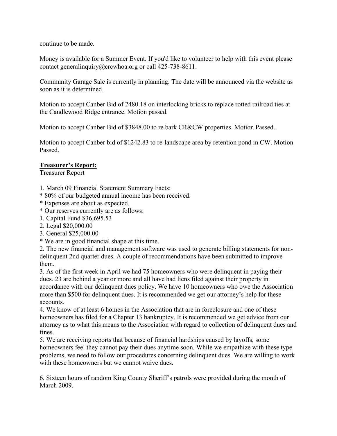continue to be made.

Money is available for a Summer Event. If you'd like to volunteer to help with this event please contact generalinquiry@crcwhoa.org or call 425-738-8611.

Community Garage Sale is currently in planning. The date will be announced via the website as soon as it is determined.

Motion to accept Canber Bid of 2480.18 on interlocking bricks to replace rotted railroad ties at the Candlewood Ridge entrance. Motion passed.

Motion to accept Canber Bid of \$3848.00 to re bark CR&CW properties. Motion Passed.

Motion to accept Canber bid of \$1242.83 to re-landscape area by retention pond in CW. Motion Passed.

#### **Treasurer's Report:**

Treasurer Report

1. March 09 Financial Statement Summary Facts:

\* 80% of our budgeted annual income has been received.

- \* Expenses are about as expected.
- \* Our reserves currently are as follows:
- 1. Capital Fund \$36,695.53
- 2. Legal \$20,000.00
- 3. General \$25,000.00
- \* We are in good financial shape at this time.

2. The new financial and management software was used to generate billing statements for nondelinquent 2nd quarter dues. A couple of recommendations have been submitted to improve them.

3. As of the first week in April we had 75 homeowners who were delinquent in paying their dues. 23 are behind a year or more and all have had liens filed against their property in accordance with our delinquent dues policy. We have 10 homeowners who owe the Association more than \$500 for delinquent dues. It is recommended we get our attorney's help for these accounts.

4. We know of at least 6 homes in the Association that are in foreclosure and one of these homeowners has filed for a Chapter 13 bankruptcy. It is recommended we get advice from our attorney as to what this means to the Association with regard to collection of delinquent dues and fines.

5. We are receiving reports that because of financial hardships caused by layoffs, some homeowners feel they cannot pay their dues anytime soon. While we empathize with these type problems, we need to follow our procedures concerning delinquent dues. We are willing to work with these homeowners but we cannot waive dues.

6. Sixteen hours of random King County Sheriff's patrols were provided during the month of March 2009.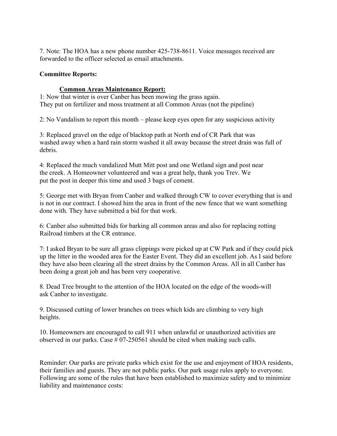7. Note: The HOA has a new phone number 425-738-8611. Voice messages received are forwarded to the officer selected as email attachments.

## **Committee Reports:**

## **Common Areas Maintenance Report:**

1: Now that winter is over Canber has been mowing the grass again. They put on fertilizer and moss treatment at all Common Areas (not the pipeline)

2: No Vandalism to report this month – please keep eyes open for any suspicious activity

3: Replaced gravel on the edge of blacktop path at North end of CR Park that was washed away when a hard rain storm washed it all away because the street drain was full of debris.

4: Replaced the much vandalized Mutt Mitt post and one Wetland sign and post near the creek. A Homeowner volunteered and was a great help, thank you Trev. We put the post in deeper this time and used 3 bags of cement.

5: George met with Bryan from Canber and walked through CW to cover everything that is and is not in our contract. I showed him the area in front of the new fence that we want something done with. They have submitted a bid for that work.

6: Canber also submitted bids for barking all common areas and also for replacing rotting Railroad timbers at the CR entrance.

7: I asked Bryan to be sure all grass clippings were picked up at CW Park and if they could pick up the litter in the wooded area for the Easter Event. They did an excellent job. As I said before they have also been clearing all the street drains by the Common Areas. All in all Canber has been doing a great job and has been very cooperative.

8. Dead Tree brought to the attention of the HOA located on the edge of the woods-will ask Canber to investigate.

9. Discussed cutting of lower branches on trees which kids are climbing to very high heights.

10. Homeowners are encouraged to call 911 when unlawful or unauthorized activities are observed in our parks. Case  $\#07-250561$  should be cited when making such calls.

Reminder: Our parks are private parks which exist for the use and enjoyment of HOA residents, their families and guests. They are not public parks. Our park usage rules apply to everyone. Following are some of the rules that have been established to maximize safety and to minimize liability and maintenance costs: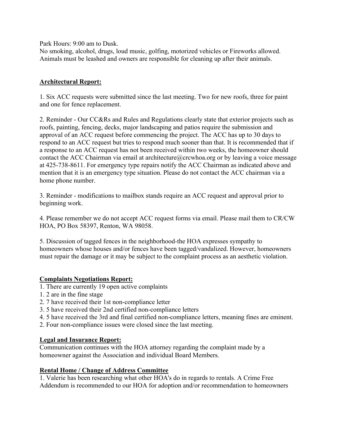Park Hours: 9:00 am to Dusk.

No smoking, alcohol, drugs, loud music, golfing, motorized vehicles or Fireworks allowed. Animals must be leashed and owners are responsible for cleaning up after their animals.

## **Architectural Report:**

1. Six ACC requests were submitted since the last meeting. Two for new roofs, three for paint and one for fence replacement.

2. Reminder - Our CC&Rs and Rules and Regulations clearly state that exterior projects such as roofs, painting, fencing, decks, major landscaping and patios require the submission and approval of an ACC request before commencing the project. The ACC has up to 30 days to respond to an ACC request but tries to respond much sooner than that. It is recommended that if a response to an ACC request has not been received within two weeks, the homeowner should contact the ACC Chairman via email at architecture@crcwhoa.org or by leaving a voice message at 425-738-8611. For emergency type repairs notify the ACC Chairman as indicated above and mention that it is an emergency type situation. Please do not contact the ACC chairman via a home phone number.

3. Reminder - modifications to mailbox stands require an ACC request and approval prior to beginning work.

4. Please remember we do not accept ACC request forms via email. Please mail them to CR/CW HOA, PO Box 58397, Renton, WA 98058.

5. Discussion of tagged fences in the neighborhood-the HOA expresses sympathy to homeowners whose houses and/or fences have been tagged/vandalized. However, homeowners must repair the damage or it may be subject to the complaint process as an aesthetic violation.

## **Complaints Negotiations Report:**

- 1. There are currently 19 open active complaints
- 1. 2 are in the fine stage
- 2. 7 have received their 1st non-compliance letter
- 3. 5 have received their 2nd certified non-compliance letters
- 4. 5 have received the 3rd and final certified non-compliance letters, meaning fines are eminent.
- 2. Four non-compliance issues were closed since the last meeting.

## **Legal and Insurance Report:**

Communication continues with the HOA attorney regarding the complaint made by a homeowner against the Association and individual Board Members.

#### **Rental Home / Change of Address Committee**

1. Valerie has been researching what other HOA's do in regards to rentals. A Crime Free Addendum is recommended to our HOA for adoption and/or recommendation to homeowners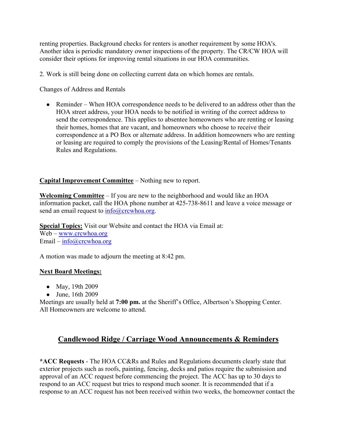renting properties. Background checks for renters is another requirement by some HOA's. Another idea is periodic mandatory owner inspections of the property. The CR/CW HOA will consider their options for improving rental situations in our HOA communities.

2. Work is still being done on collecting current data on which homes are rentals.

Changes of Address and Rentals

• Reminder – When HOA correspondence needs to be delivered to an address other than the HOA street address, your HOA needs to be notified in writing of the correct address to send the correspondence. This applies to absentee homeowners who are renting or leasing their homes, homes that are vacant, and homeowners who choose to receive their correspondence at a PO Box or alternate address. In addition homeowners who are renting or leasing are required to comply the provisions of the Leasing/Rental of Homes/Tenants Rules and Regulations.

## **Capital Improvement Committee** – Nothing new to report.

**Welcoming Committee** – If you are new to the neighborhood and would like an HOA information packet, call the HOA phone number at 425-738-8611 and leave a voice message or send an email request to  $info@crcwhoa.org$ .

**Special Topics:** Visit our Website and contact the HOA via Email at: Web – www.crcwhoa.org Email –  $info@crcwhoa.org$ 

A motion was made to adjourn the meeting at 8:42 pm.

#### **Next Board Meetings:**

- May, 19th 2009
- June, 16th 2009

Meetings are usually held at **7:00 pm.** at the Sheriff's Office, Albertson's Shopping Center. All Homeowners are welcome to attend.

## **Candlewood Ridge / Carriage Wood Announcements & Reminders**

**\*ACC Requests** - The HOA CC&Rs and Rules and Regulations documents clearly state that exterior projects such as roofs, painting, fencing, decks and patios require the submission and approval of an ACC request before commencing the project. The ACC has up to 30 days to respond to an ACC request but tries to respond much sooner. It is recommended that if a response to an ACC request has not been received within two weeks, the homeowner contact the